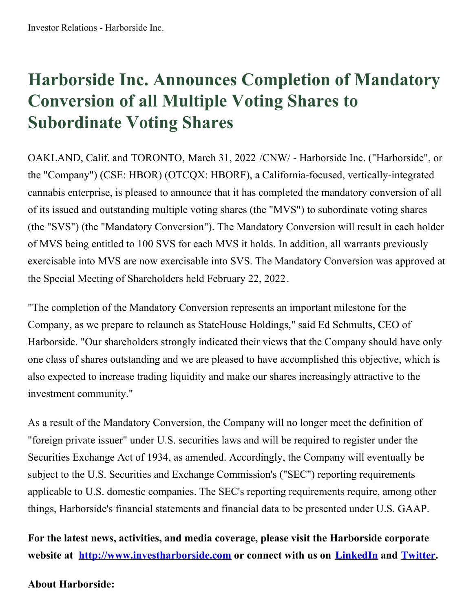## **Harborside Inc. Announces Completion of Mandatory Conversion of all Multiple Voting Shares to Subordinate Voting Shares**

OAKLAND, Calif. and TORONTO, March 31, 2022 /CNW/ - Harborside Inc. ("Harborside", or the "Company") (CSE: HBOR) (OTCQX: HBORF), a California-focused, vertically-integrated cannabis enterprise, is pleased to announce that it has completed the mandatory conversion of all of its issued and outstanding multiple voting shares (the "MVS") to subordinate voting shares (the "SVS") (the "Mandatory Conversion"). The Mandatory Conversion will result in each holder of MVS being entitled to 100 SVS for each MVS it holds. In addition, all warrants previously exercisable into MVS are now exercisable into SVS. The Mandatory Conversion was approved at the Special Meeting of Shareholders held February 22, 2022.

"The completion of the Mandatory Conversion represents an important milestone for the Company, as we prepare to relaunch as StateHouse Holdings," said Ed Schmults, CEO of Harborside. "Our shareholders strongly indicated their views that the Company should have only one class of shares outstanding and we are pleased to have accomplished this objective, which is also expected to increase trading liquidity and make our shares increasingly attractive to the investment community."

As a result of the Mandatory Conversion, the Company will no longer meet the definition of "foreign private issuer" under U.S. securities laws and will be required to register under the Securities Exchange Act of 1934, as amended. Accordingly, the Company will eventually be subject to the U.S. Securities and Exchange Commission's ("SEC") reporting requirements applicable to U.S. domestic companies. The SEC's reporting requirements require, among other things, Harborside's financial statements and financial data to be presented under U.S. GAAP.

**For the latest news, activities, and media coverage, please visit the Harborside corporate website at [http://www.investharborside.com](https://c212.net/c/link/?t=0&l=en&o=3489137-1&h=2624304494&u=http%3A%2F%2Fwww.investharborside.com%2F&a=http%3A%2F%2Fwww.investharborside.com) or connect with us on [LinkedIn](https://c212.net/c/link/?t=0&l=en&o=3489137-1&h=941335509&u=https%3A%2F%2Fwww.linkedin.com%2Fcompany%2Fharborside-inc%2F&a=LinkedIn) and [Twitter](https://c212.net/c/link/?t=0&l=en&o=3489137-1&h=2193587900&u=https%3A%2F%2Ftwitter.com%2FHarborsideInc&a=Twitter).**

## **About Harborside:**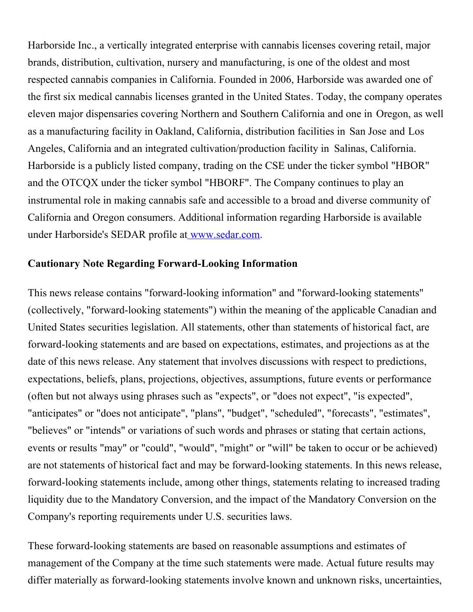Harborside Inc., a vertically integrated enterprise with cannabis licenses covering retail, major brands, distribution, cultivation, nursery and manufacturing, is one of the oldest and most respected cannabis companies in California. Founded in 2006, Harborside was awarded one of the first six medical cannabis licenses granted in the United States. Today, the company operates eleven major dispensaries covering Northern and Southern California and one in Oregon, as well as a manufacturing facility in Oakland, California, distribution facilities in San Jose and Los Angeles, California and an integrated cultivation/production facility in Salinas, California. Harborside is a publicly listed company, trading on the CSE under the ticker symbol "HBOR" and the OTCQX under the ticker symbol "HBORF". The Company continues to play an instrumental role in making cannabis safe and accessible to a broad and diverse community of California and Oregon consumers. Additional information regarding Harborside is available under Harborside's SEDAR profile a[t](https://c212.net/c/link/?t=0&l=en&o=3489137-1&h=258819435&u=https%3A%2F%2Fc212.net%2Fc%2Flink%2F%3Ft%3D0%26l%3Den%26o%3D2904638-1%26h%3D1636337117%26u%3Dhttp%253A%252F%252Fwww.sedar.com%252F%26a%3Dwww.sedar.com&a=+) [www.sedar.com](https://c212.net/c/link/?t=0&l=en&o=3489137-1&h=2040283781&u=http%3A%2F%2Fwww.sedar.com%2F&a=www.sedar.com).

## **Cautionary Note Regarding Forward-Looking Information**

This news release contains "forward-looking information" and "forward-looking statements" (collectively, "forward-looking statements") within the meaning of the applicable Canadian and United States securities legislation. All statements, other than statements of historical fact, are forward-looking statements and are based on expectations, estimates, and projections as at the date of this news release. Any statement that involves discussions with respect to predictions, expectations, beliefs, plans, projections, objectives, assumptions, future events or performance (often but not always using phrases such as "expects", or "does not expect", "is expected", "anticipates" or "does not anticipate", "plans", "budget", "scheduled", "forecasts", "estimates", "believes" or "intends" or variations of such words and phrases or stating that certain actions, events or results "may" or "could", "would", "might" or "will" be taken to occur or be achieved) are not statements of historical fact and may be forward-looking statements. In this news release, forward-looking statements include, among other things, statements relating to increased trading liquidity due to the Mandatory Conversion, and the impact of the Mandatory Conversion on the Company's reporting requirements under U.S. securities laws.

These forward-looking statements are based on reasonable assumptions and estimates of management of the Company at the time such statements were made. Actual future results may differ materially as forward-looking statements involve known and unknown risks, uncertainties,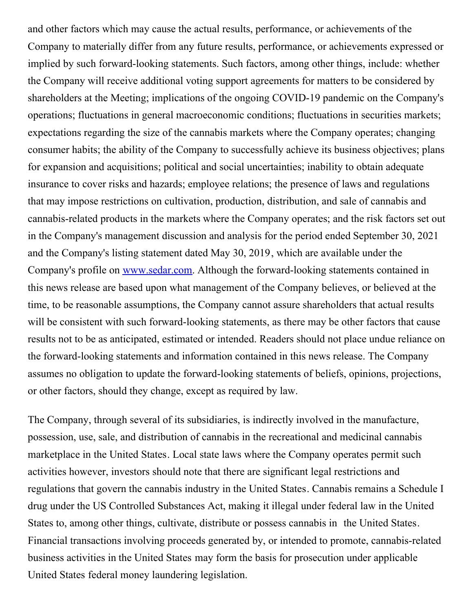and other factors which may cause the actual results, performance, or achievements of the Company to materially differ from any future results, performance, or achievements expressed or implied by such forward-looking statements. Such factors, among other things, include: whether the Company will receive additional voting support agreements for matters to be considered by shareholders at the Meeting; implications of the ongoing COVID-19 pandemic on the Company's operations; fluctuations in general macroeconomic conditions; fluctuations in securities markets; expectations regarding the size of the cannabis markets where the Company operates; changing consumer habits; the ability of the Company to successfully achieve its business objectives; plans for expansion and acquisitions; political and social uncertainties; inability to obtain adequate insurance to cover risks and hazards; employee relations; the presence of laws and regulations that may impose restrictions on cultivation, production, distribution, and sale of cannabis and cannabis-related products in the markets where the Company operates; and the risk factors set out in the Company's management discussion and analysis for the period ended September 30, 2021 and the Company's listing statement dated May 30, 2019, which are available under the Company's profile on [www.sedar.com](https://c212.net/c/link/?t=0&l=en&o=3489137-1&h=2040283781&u=http%3A%2F%2Fwww.sedar.com%2F&a=www.sedar.com). Although the forward-looking statements contained in this news release are based upon what management of the Company believes, or believed at the time, to be reasonable assumptions, the Company cannot assure shareholders that actual results will be consistent with such forward-looking statements, as there may be other factors that cause results not to be as anticipated, estimated or intended. Readers should not place undue reliance on the forward-looking statements and information contained in this news release. The Company assumes no obligation to update the forward-looking statements of beliefs, opinions, projections, or other factors, should they change, except as required by law.

The Company, through several of its subsidiaries, is indirectly involved in the manufacture, possession, use, sale, and distribution of cannabis in the recreational and medicinal cannabis marketplace in the United States. Local state laws where the Company operates permit such activities however, investors should note that there are significant legal restrictions and regulations that govern the cannabis industry in the United States. Cannabis remains a Schedule I drug under the US Controlled Substances Act, making it illegal under federal law in the United States to, among other things, cultivate, distribute or possess cannabis in the United States. Financial transactions involving proceeds generated by, or intended to promote, cannabis-related business activities in the United States may form the basis for prosecution under applicable United States federal money laundering legislation.